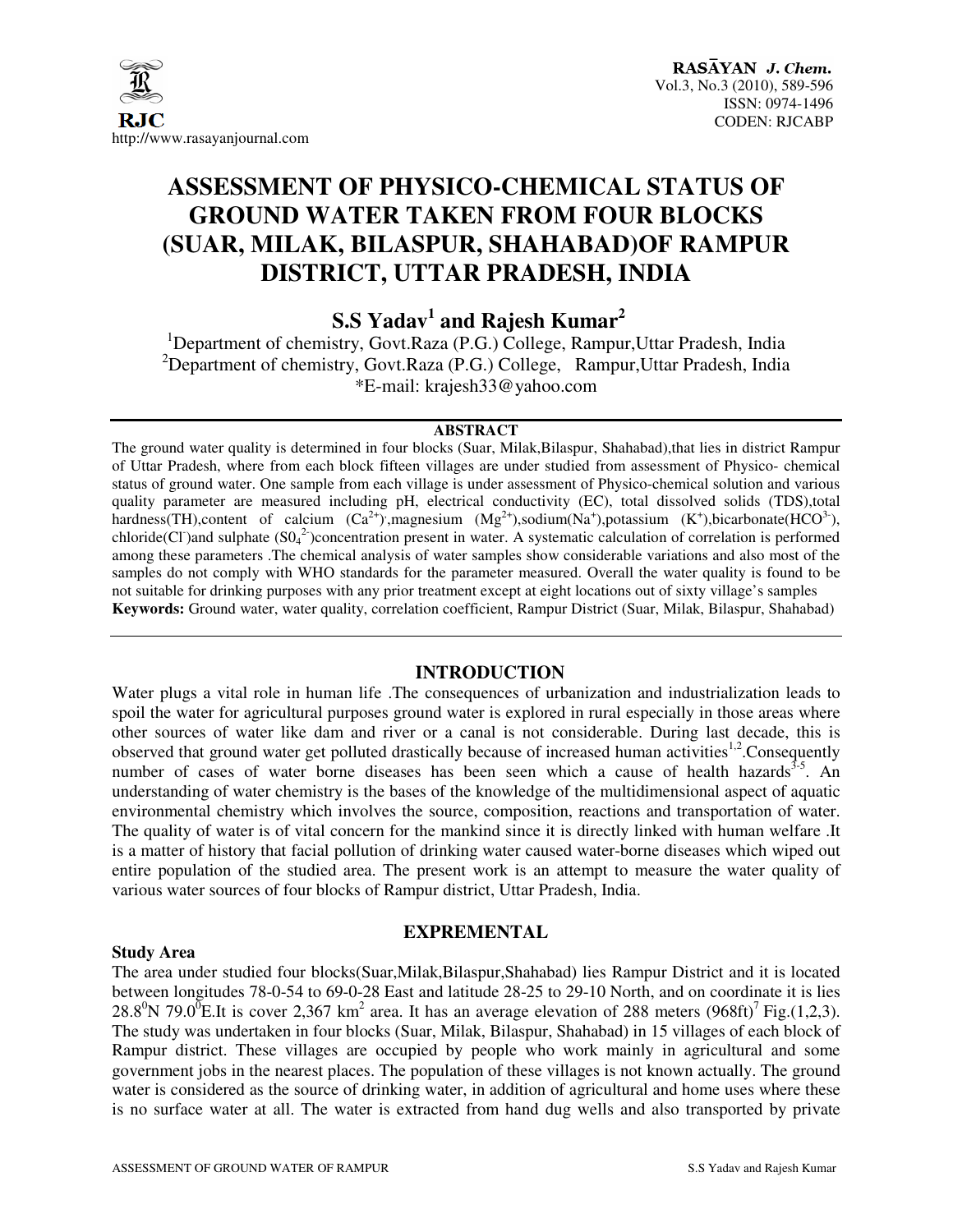

# **ASSESSMENT OF PHYSICO-CHEMICAL STATUS OF GROUND WATER TAKEN FROM FOUR BLOCKS (SUAR, MILAK, BILASPUR, SHAHABAD)OF RAMPUR DISTRICT, UTTAR PRADESH, INDIA**

 **S.S Yadav<sup>1</sup> and Rajesh Kumar<sup>2</sup>**

<sup>1</sup>Department of chemistry, Govt.Raza (P.G.) College, Rampur, Uttar Pradesh, India <sup>2</sup>Department of chemistry, Govt.Raza (P.G.) College, Rampur, Uttar Pradesh, India \*E-mail: krajesh33@yahoo.com

#### **ABSTRACT**

The ground water quality is determined in four blocks (Suar, Milak,Bilaspur, Shahabad),that lies in district Rampur of Uttar Pradesh, where from each block fifteen villages are under studied from assessment of Physico- chemical status of ground water. One sample from each village is under assessment of Physico-chemical solution and various quality parameter are measured including pH, electrical conductivity (EC), total dissolved solids (TDS),total hardness(TH),content of calcium  $(Ca^{2+})$ , magnesium  $(Mg^{2+})$ , sodium(Na<sup>+</sup>), potassium  $(K^+)$ , bicarbonate(HCO<sup>3-</sup>), chloride(Cl) and sulphate  $(SO<sub>4</sub><sup>2</sup>)$ concentration present in water. A systematic calculation of correlation is performed among these parameters .The chemical analysis of water samples show considerable variations and also most of the samples do not comply with WHO standards for the parameter measured. Overall the water quality is found to be not suitable for drinking purposes with any prior treatment except at eight locations out of sixty village's samples **Keywords:** Ground water, water quality, correlation coefficient, Rampur District (Suar, Milak, Bilaspur, Shahabad)

# **INTRODUCTION**

Water plugs a vital role in human life .The consequences of urbanization and industrialization leads to spoil the water for agricultural purposes ground water is explored in rural especially in those areas where other sources of water like dam and river or a canal is not considerable. During last decade, this is observed that ground water get polluted drastically because of increased human activities<sup>1,2</sup>. Consequently number of cases of water borne diseases has been seen which a cause of health hazards<sup>3-5</sup>. An understanding of water chemistry is the bases of the knowledge of the multidimensional aspect of aquatic environmental chemistry which involves the source, composition, reactions and transportation of water. The quality of water is of vital concern for the mankind since it is directly linked with human welfare .It is a matter of history that facial pollution of drinking water caused water-borne diseases which wiped out entire population of the studied area. The present work is an attempt to measure the water quality of various water sources of four blocks of Rampur district, Uttar Pradesh, India.

#### **Study Area**

# **EXPREMENTAL**

The area under studied four blocks(Suar,Milak,Bilaspur,Shahabad) lies Rampur District and it is located between longitudes 78-0-54 to 69-0-28 East and latitude 28-25 to 29-10 North, and on coordinate it is lies 28.8<sup>0</sup>N 79.0<sup>0</sup>E.It is cover 2,367 km<sup>2</sup> area. It has an average elevation of 288 meters (968ft)<sup>7</sup> Fig.(1,2,3). The study was undertaken in four blocks (Suar, Milak, Bilaspur, Shahabad) in 15 villages of each block of Rampur district. These villages are occupied by people who work mainly in agricultural and some government jobs in the nearest places. The population of these villages is not known actually. The ground water is considered as the source of drinking water, in addition of agricultural and home uses where these is no surface water at all. The water is extracted from hand dug wells and also transported by private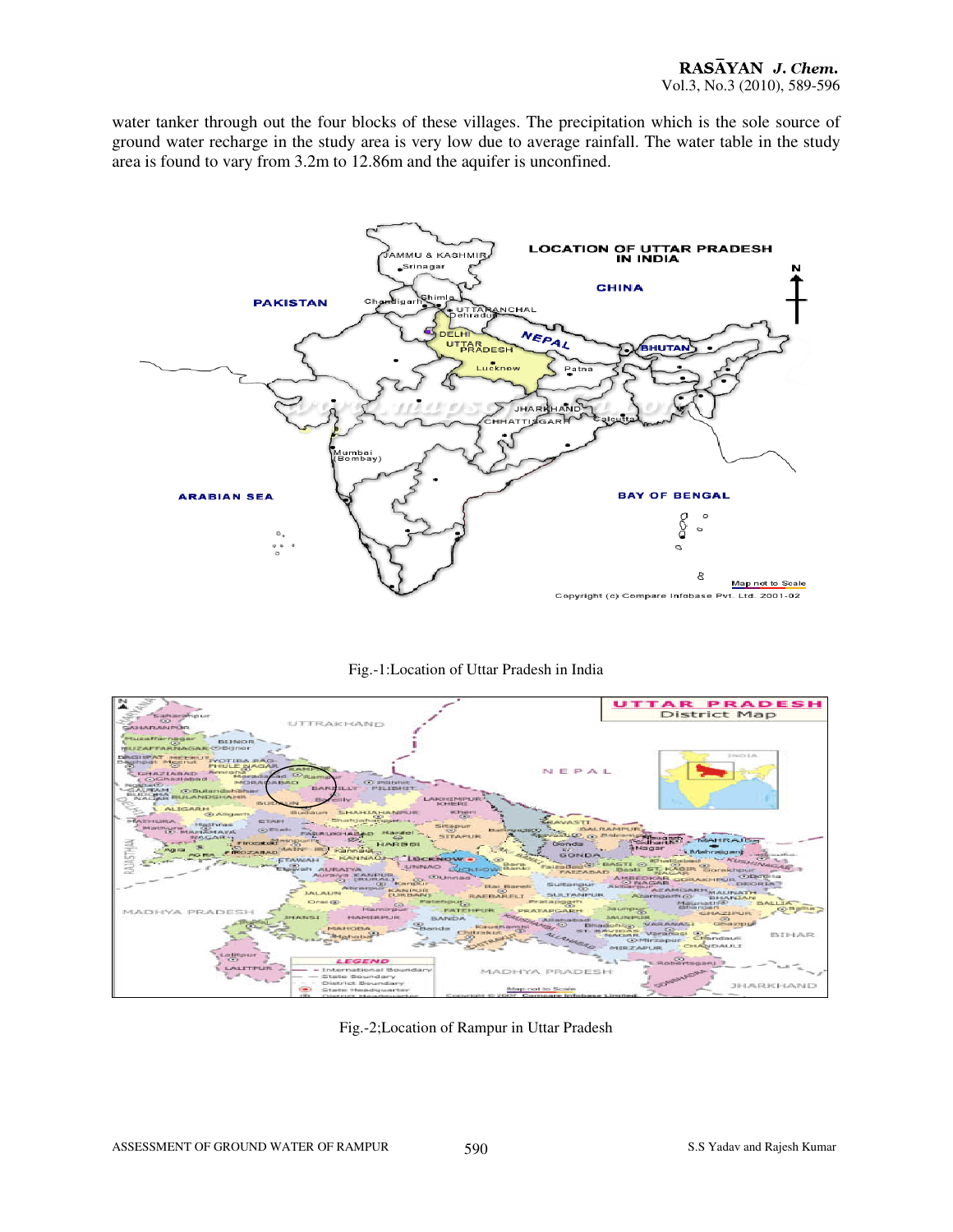water tanker through out the four blocks of these villages. The precipitation which is the sole source of ground water recharge in the study area is very low due to average rainfall. The water table in the study area is found to vary from 3.2m to 12.86m and the aquifer is unconfined.







Fig.-2;Location of Rampur in Uttar Pradesh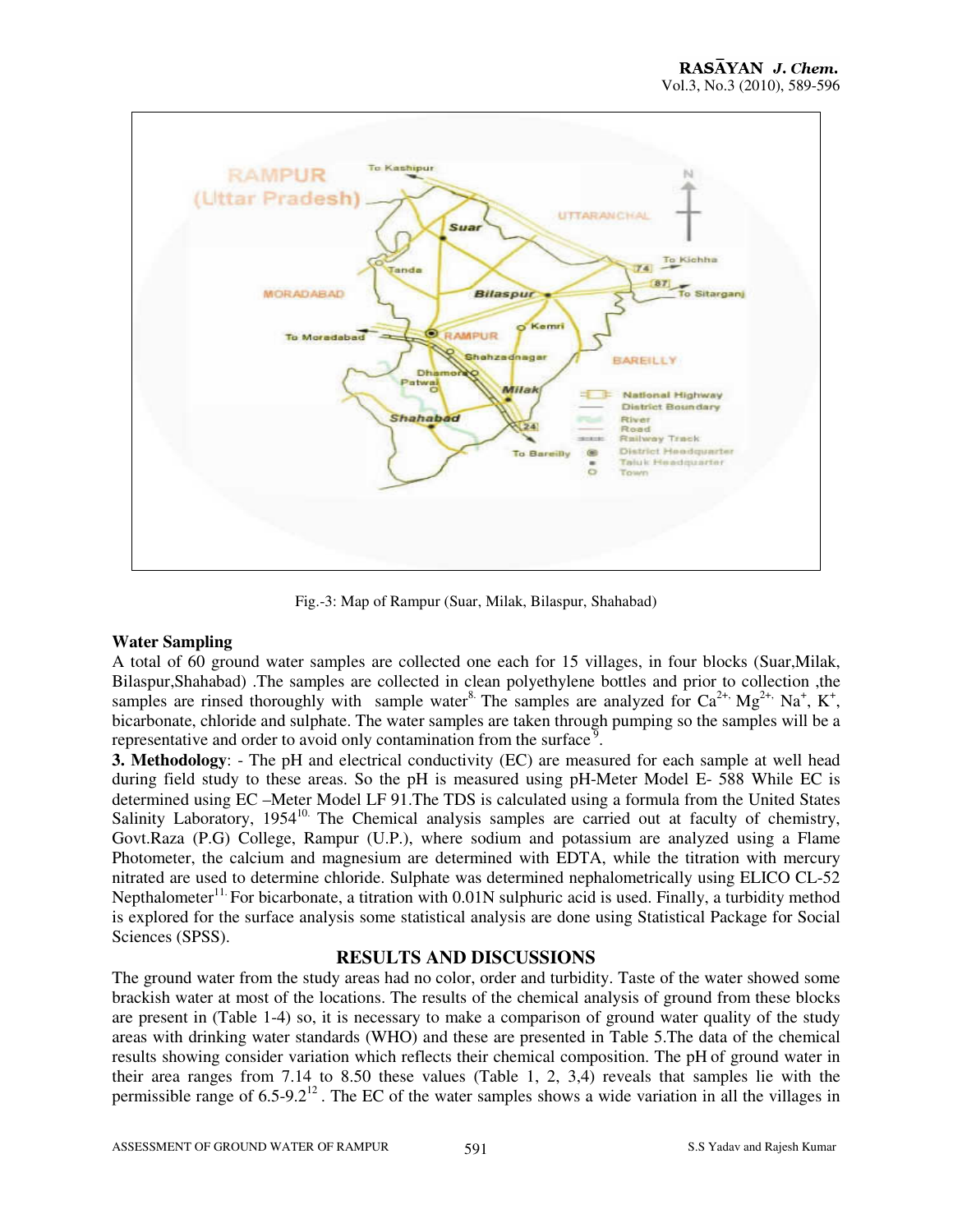

Fig.-3: Map of Rampur (Suar, Milak, Bilaspur, Shahabad)

# **Water Sampling**

A total of 60 ground water samples are collected one each for 15 villages, in four blocks (Suar,Milak, Bilaspur,Shahabad) .The samples are collected in clean polyethylene bottles and prior to collection ,the samples are rinsed thoroughly with sample water<sup>8</sup>. The samples are analyzed for  $Ca^{2+}$ ,  $Mg^{2+}$ ,  $Na^{+}$ ,  $K^{+}$ , bicarbonate, chloride and sulphate. The water samples are taken through pumping so the samples will be a representative and order to avoid only contamination from the surface<sup>9</sup>.

**3. Methodology**: - The pH and electrical conductivity (EC) are measured for each sample at well head during field study to these areas. So the pH is measured using pH-Meter Model E- 588 While EC is determined using EC –Meter Model LF 91.The TDS is calculated using a formula from the United States Salinity Laboratory, 1954<sup>10.</sup> The Chemical analysis samples are carried out at faculty of chemistry, Govt.Raza (P.G) College, Rampur (U.P.), where sodium and potassium are analyzed using a Flame Photometer, the calcium and magnesium are determined with EDTA, while the titration with mercury nitrated are used to determine chloride. Sulphate was determined nephalometrically using ELICO CL-52 Nepthalometer<sup>11.</sup> For bicarbonate, a titration with  $0.01N$  sulphuric acid is used. Finally, a turbidity method is explored for the surface analysis some statistical analysis are done using Statistical Package for Social Sciences (SPSS).

# **RESULTS AND DISCUSSIONS**

The ground water from the study areas had no color, order and turbidity. Taste of the water showed some brackish water at most of the locations. The results of the chemical analysis of ground from these blocks are present in (Table 1-4) so, it is necessary to make a comparison of ground water quality of the study areas with drinking water standards (WHO) and these are presented in Table 5.The data of the chemical results showing consider variation which reflects their chemical composition. The pH of ground water in their area ranges from 7.14 to 8.50 these values (Table 1, 2, 3,4) reveals that samples lie with the permissible range of  $6.5$ -9.2<sup>12</sup>. The EC of the water samples shows a wide variation in all the villages in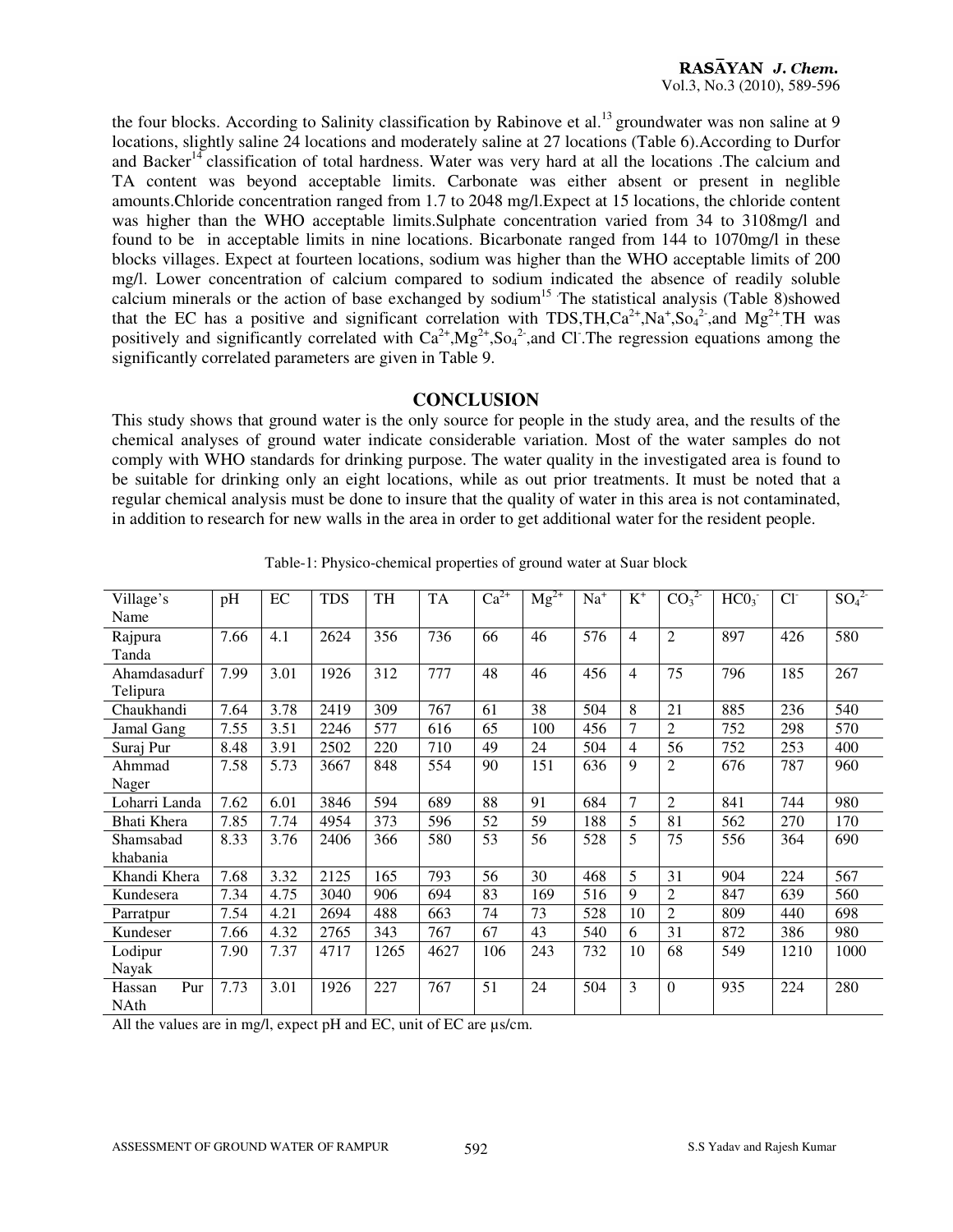the four blocks. According to Salinity classification by Rabinove et al.<sup>13</sup> groundwater was non saline at 9 locations, slightly saline 24 locations and moderately saline at 27 locations (Table 6).According to Durfor and Backer<sup>14</sup> classification of total hardness. Water was very hard at all the locations .The calcium and TA content was beyond acceptable limits. Carbonate was either absent or present in neglible amounts.Chloride concentration ranged from 1.7 to 2048 mg/l.Expect at 15 locations, the chloride content was higher than the WHO acceptable limits.Sulphate concentration varied from 34 to 3108mg/l and found to be in acceptable limits in nine locations. Bicarbonate ranged from 144 to 1070mg/l in these blocks villages. Expect at fourteen locations, sodium was higher than the WHO acceptable limits of 200 mg/l. Lower concentration of calcium compared to sodium indicated the absence of readily soluble calcium minerals or the action of base exchanged by sodium<sup>15</sup> The statistical analysis (Table 8)showed that the EC has a positive and significant correlation with TDS,TH, $Ca^{2+}$ ,Na<sup>+</sup>,So<sub>4</sub><sup>2</sup>,and Mg<sup>2+</sup>TH was positively and significantly correlated with  $Ca^{2+}$ ,  $Mg^{2+}$ ,  $So<sub>4</sub><sup>2</sup>$ , and Cl. The regression equations among the significantly correlated parameters are given in Table 9.

# **CONCLUSION**

This study shows that ground water is the only source for people in the study area, and the results of the chemical analyses of ground water indicate considerable variation. Most of the water samples do not comply with WHO standards for drinking purpose. The water quality in the investigated area is found to be suitable for drinking only an eight locations, while as out prior treatments. It must be noted that a regular chemical analysis must be done to insure that the quality of water in this area is not contaminated, in addition to research for new walls in the area in order to get additional water for the resident people.

| Village's     | pH   | EC   | <b>TDS</b> | TH   | <b>TA</b> | $Ca^{2+}$ | $Mg^{2+}$ | $Na+$ | $K^+$          | CO <sub>3</sub> <sup>2</sup> | HCO <sub>3</sub> | $Cl-$ | $SO_4^{2-}$ |
|---------------|------|------|------------|------|-----------|-----------|-----------|-------|----------------|------------------------------|------------------|-------|-------------|
| Name          |      |      |            |      |           |           |           |       |                |                              |                  |       |             |
| Rajpura       | 7.66 | 4.1  | 2624       | 356  | 736       | 66        | 46        | 576   | $\overline{4}$ | $\overline{2}$               | 897              | 426   | 580         |
| Tanda         |      |      |            |      |           |           |           |       |                |                              |                  |       |             |
| Ahamdasadurf  | 7.99 | 3.01 | 1926       | 312  | 777       | 48        | 46        | 456   | $\overline{4}$ | 75                           | 796              | 185   | 267         |
| Telipura      |      |      |            |      |           |           |           |       |                |                              |                  |       |             |
| Chaukhandi    | 7.64 | 3.78 | 2419       | 309  | 767       | 61        | 38        | 504   | 8              | 21                           | 885              | 236   | 540         |
| Jamal Gang    | 7.55 | 3.51 | 2246       | 577  | 616       | 65        | 100       | 456   | $\overline{7}$ | $\overline{2}$               | 752              | 298   | 570         |
| Suraj Pur     | 8.48 | 3.91 | 2502       | 220  | 710       | 49        | 24        | 504   | $\overline{4}$ | 56                           | 752              | 253   | 400         |
| Ahmmad        | 7.58 | 5.73 | 3667       | 848  | 554       | 90        | 151       | 636   | 9              | $\overline{2}$               | 676              | 787   | 960         |
| Nager         |      |      |            |      |           |           |           |       |                |                              |                  |       |             |
| Loharri Landa | 7.62 | 6.01 | 3846       | 594  | 689       | 88        | 91        | 684   | $\overline{7}$ | $\overline{2}$               | 841              | 744   | 980         |
| Bhati Khera   | 7.85 | 7.74 | 4954       | 373  | 596       | 52        | 59        | 188   | 5              | 81                           | 562              | 270   | 170         |
| Shamsabad     | 8.33 | 3.76 | 2406       | 366  | 580       | 53        | 56        | 528   | 5              | 75                           | 556              | 364   | 690         |
| khabania      |      |      |            |      |           |           |           |       |                |                              |                  |       |             |
| Khandi Khera  | 7.68 | 3.32 | 2125       | 165  | 793       | 56        | 30        | 468   | 5              | 31                           | 904              | 224   | 567         |
| Kundesera     | 7.34 | 4.75 | 3040       | 906  | 694       | 83        | 169       | 516   | 9              | $\overline{2}$               | 847              | 639   | 560         |
| Parratpur     | 7.54 | 4.21 | 2694       | 488  | 663       | 74        | 73        | 528   | 10             | $\overline{2}$               | 809              | 440   | 698         |
| Kundeser      | 7.66 | 4.32 | 2765       | 343  | 767       | 67        | 43        | 540   | 6              | 31                           | 872              | 386   | 980         |
| Lodipur       | 7.90 | 7.37 | 4717       | 1265 | 4627      | 106       | 243       | 732   | 10             | 68                           | 549              | 1210  | 1000        |
| Nayak         |      |      |            |      |           |           |           |       |                |                              |                  |       |             |
| Pur<br>Hassan | 7.73 | 3.01 | 1926       | 227  | 767       | 51        | 24        | 504   | 3              | $\theta$                     | 935              | 224   | 280         |
| NAth          |      |      |            |      |           |           |           |       |                |                              |                  |       |             |

Table-1: Physico-chemical properties of ground water at Suar block

All the values are in mg/l, expect pH and EC, unit of EC are  $\mu$ s/cm.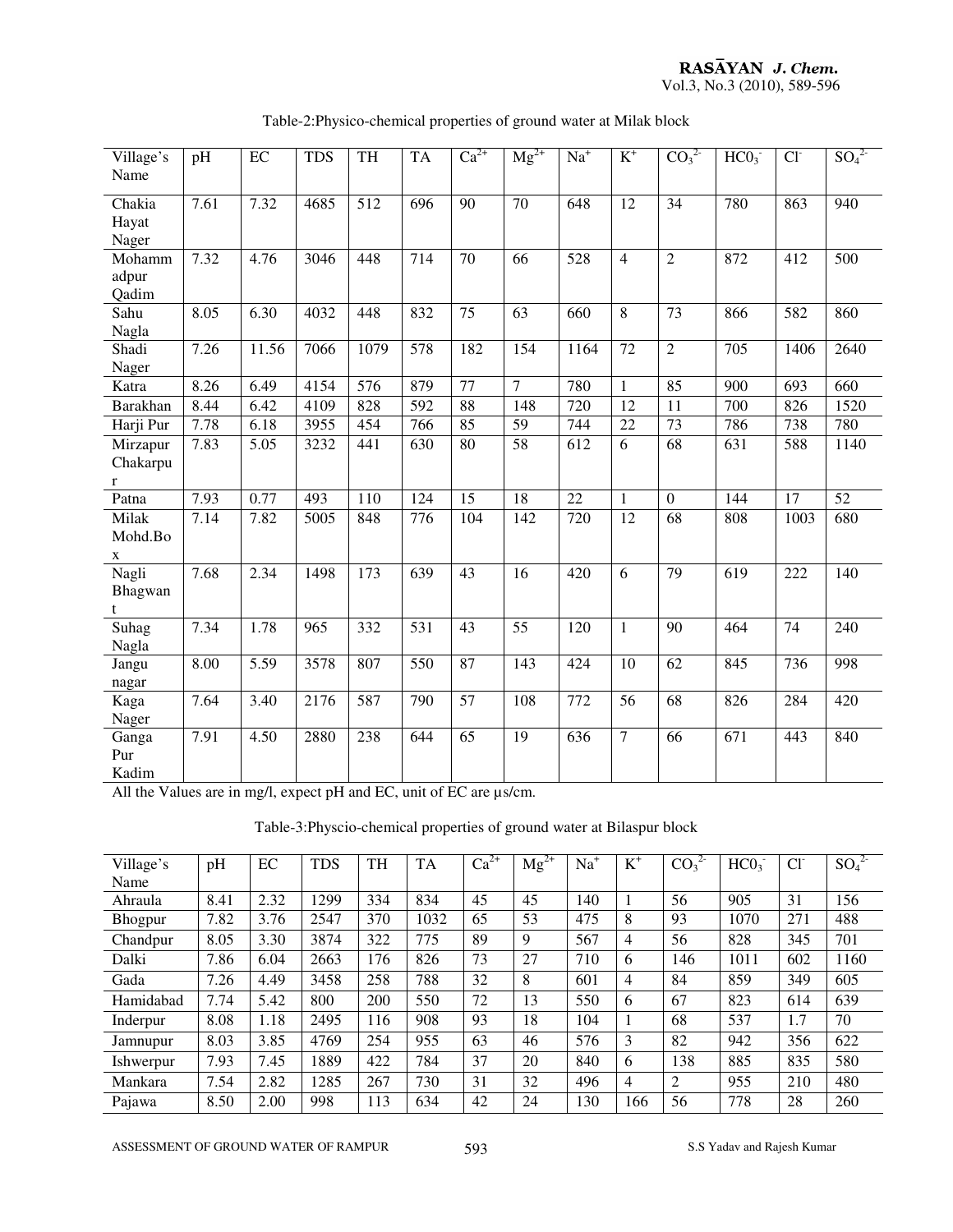#### RASAYAN J. Chem. Vol.3, No.3 (2010), 589-596

Village's Name pH EC TDS TH TA  $Ca^{2+}$   $Mg^{2+}$   $Na^{+}$  $K^+$  $CO<sub>3</sub><sup>2</sup>$  $^{2-}$  HCO<sub>3</sub>  $Cl<sup>-</sup>$  $SO_4^2$ Chakia Hayat Nager 7.61 7.32 4685 512 696 90 70 648 12 34 780 863 940 Mohamm adpur Qadim 7.32 4.76 3046 448 714 70 66 528 4 2 872 412 500 Sahu Nagla 8.05 6.30 4032 448 832 75 63 660 8 73 866 582 860 Shadi Nager 7.26 11.56 7066 1079 578 182 154 1164 72 2 705 1406 2640 Katra | 8.26 | 6.49 | 4154 | 576 | 879 | 77 | 7 | 780 | 1 | 85 | 900 | 693 | 660 Barakhan 8.44 6.42 4109 828 592 88 148 720 12 11 700 826 1520 Harji Pur | 7.78 | 6.18 | 3955 | 454 | 766 | 85 | 59 | 744 | 22 | 73 | 786 | 738 | 780 Mirzapur Chakarpu r 7.83 5.05 3232 441 630 80 58 612 6 68 631 588 1140 Patna | 7.93 | 0.77 | 493 | 110 | 124 | 15 | 18 | 22 | 1 | 0 | 144 | 17 | 52 Milak Mohd.Bo x 7.14 | 7.82 | 5005 | 848 | 776 | 104 | 142 | 720 | 12 | 68 | 808 | 1003 | 680 Nagli Bhagwan t 7.68 2.34 1498 173 639 43 16 420 6 79 619 222 140 Suhag Nagla 7.34 1.78 965 332 531 43 55 120 1 90 464 74 240 Jangu nagar 8.00 5.59 3578 807 550 87 143 424 10 62 845 736 998 Kaga Nager 7.64 3.40 2176 587 790 57 108 772 56 68 826 284 420 Ganga Pur Kadim 7.91 4.50 2880 238 644 65 19 636 7 66 671 443 840

#### Table-2:Physico-chemical properties of ground water at Milak block

All the Values are in mg/l, expect pH and EC, unit of EC are us/cm.

Table-3:Physcio-chemical properties of ground water at Bilaspur block

| Village's | pH   | EC   | <b>TDS</b> | TH  | TA   | $Ca^{2+}$ | $Mg^{2+}$ | $Na+$ | $K^+$ | $CO_3^2$ | HCO <sub>3</sub> | $Cl-$ | $SO_4^2$ |
|-----------|------|------|------------|-----|------|-----------|-----------|-------|-------|----------|------------------|-------|----------|
| Name      |      |      |            |     |      |           |           |       |       |          |                  |       |          |
| Ahraula   | 8.41 | 2.32 | 1299       | 334 | 834  | 45        | 45        | 140   |       | 56       | 905              | 31    | 156      |
| Bhogpur   | 7.82 | 3.76 | 2547       | 370 | 1032 | 65        | 53        | 475   | 8     | 93       | 1070             | 271   | 488      |
| Chandpur  | 8.05 | 3.30 | 3874       | 322 | 775  | 89        | 9         | 567   | 4     | 56       | 828              | 345   | 701      |
| Dalki     | 7.86 | 6.04 | 2663       | 176 | 826  | 73        | 27        | 710   | 6     | 146      | 1011             | 602   | 1160     |
| Gada      | 7.26 | 4.49 | 3458       | 258 | 788  | 32        | 8         | 601   | 4     | 84       | 859              | 349   | 605      |
| Hamidabad | 7.74 | 5.42 | 800        | 200 | 550  | 72        | 13        | 550   | 6     | 67       | 823              | 614   | 639      |
| Inderpur  | 8.08 | 1.18 | 2495       | 116 | 908  | 93        | 18        | 104   |       | 68       | 537              | 1.7   | 70       |
| Jamnupur  | 8.03 | 3.85 | 4769       | 254 | 955  | 63        | 46        | 576   | 3     | 82       | 942              | 356   | 622      |
| Ishwerpur | 7.93 | 7.45 | 1889       | 422 | 784  | 37        | 20        | 840   | 6     | 138      | 885              | 835   | 580      |
| Mankara   | 7.54 | 2.82 | 1285       | 267 | 730  | 31        | 32        | 496   | 4     | 2        | 955              | 210   | 480      |
| Pajawa    | 8.50 | 2.00 | 998        | 113 | 634  | 42        | 24        | 130   | 166   | 56       | 778              | 28    | 260      |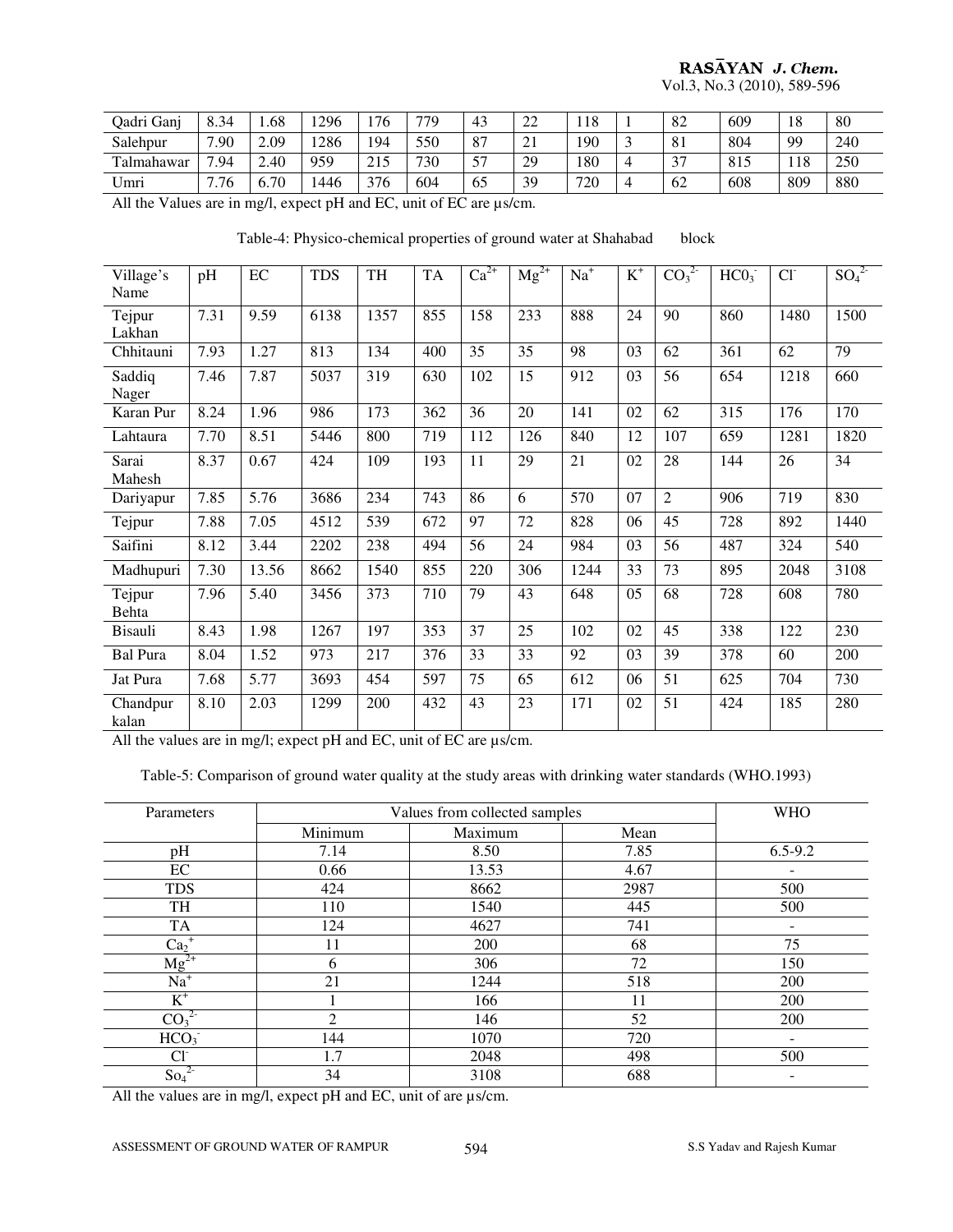# RASAYAN J. Chem.

Vol.3, No.3 (2010), 589-596

| Qadri Ganj      | 8.34 | .68           | 1296         | '76    | 770               | 43 | $\bigcap$<br>∠∠      | 1 Q<br>-10 |   | 82                   | 609 | 18  | -80 |
|-----------------|------|---------------|--------------|--------|-------------------|----|----------------------|------------|---|----------------------|-----|-----|-----|
| Salehpur        | 7.90 | $\angle 0.09$ | 1286         | 194    | 550               | 87 | $\sim$ 1<br>$\sim$ 1 | 190        |   | O <sub>1</sub><br>ΟI | 804 | 99  | 240 |
| Talmahawar      | 7.94 | 2.40          | 959          | 215    | 730               | 57 | 29                   | 180        |   | $\sim$<br>◡          | 815 | 118 | 250 |
| Umri            | '.76 | 6.70          | 1446         | 376    | 604               | 65 | 39                   | 720        | 4 | 62                   | 608 | 809 | 880 |
| $1.11.1$ $X7.1$ |      | $\mathbf{r}$  | $\mathbf{v}$ | $\sim$ | $\cdots$ $\cdots$ |    |                      |            |   |                      |     |     |     |

All the Values are in mg/l, expect pH and EC, unit of EC are µs/cm.

Table-4: Physico-chemical properties of ground water at Shahabad block

| Village's<br>Name | pH   | EC    | <b>TDS</b> | TH   | <b>TA</b> | $Ca^{2+}$ | $Mg^{2+}$ | $Na+$ | $K^+$ | CO <sub>3</sub> <sup>2</sup> | HCO <sub>3</sub> | $Cl-$ | $S\overline{O_4}^{2}$ |
|-------------------|------|-------|------------|------|-----------|-----------|-----------|-------|-------|------------------------------|------------------|-------|-----------------------|
| Tejpur<br>Lakhan  | 7.31 | 9.59  | 6138       | 1357 | 855       | 158       | 233       | 888   | 24    | 90                           | 860              | 1480  | 1500                  |
| Chhitauni         | 7.93 | 1.27  | 813        | 134  | 400       | 35        | 35        | 98    | 03    | 62                           | 361              | 62    | 79                    |
| Saddiq<br>Nager   | 7.46 | 7.87  | 5037       | 319  | 630       | 102       | 15        | 912   | 03    | 56                           | 654              | 1218  | 660                   |
| Karan Pur         | 8.24 | 1.96  | 986        | 173  | 362       | 36        | 20        | 141   | 02    | 62                           | 315              | 176   | 170                   |
| Lahtaura          | 7.70 | 8.51  | 5446       | 800  | 719       | 112       | 126       | 840   | 12    | 107                          | 659              | 1281  | 1820                  |
| Sarai<br>Mahesh   | 8.37 | 0.67  | 424        | 109  | 193       | 11        | 29        | 21    | 02    | 28                           | 144              | 26    | 34                    |
| Dariyapur         | 7.85 | 5.76  | 3686       | 234  | 743       | 86        | 6         | 570   | 07    | $\overline{2}$               | 906              | 719   | 830                   |
| Tejpur            | 7.88 | 7.05  | 4512       | 539  | 672       | 97        | 72        | 828   | 06    | 45                           | 728              | 892   | 1440                  |
| Saifini           | 8.12 | 3.44  | 2202       | 238  | 494       | 56        | 24        | 984   | 03    | 56                           | 487              | 324   | 540                   |
| Madhupuri         | 7.30 | 13.56 | 8662       | 1540 | 855       | 220       | 306       | 1244  | 33    | 73                           | 895              | 2048  | 3108                  |
| Tejpur<br>Behta   | 7.96 | 5.40  | 3456       | 373  | 710       | 79        | 43        | 648   | 05    | 68                           | 728              | 608   | 780                   |
| <b>Bisauli</b>    | 8.43 | 1.98  | 1267       | 197  | 353       | 37        | 25        | 102   | 02    | 45                           | 338              | 122   | 230                   |
| <b>Bal Pura</b>   | 8.04 | 1.52  | 973        | 217  | 376       | 33        | 33        | 92    | 03    | 39                           | 378              | 60    | 200                   |
| Jat Pura          | 7.68 | 5.77  | 3693       | 454  | 597       | 75        | 65        | 612   | 06    | 51                           | 625              | 704   | 730                   |
| Chandpur<br>kalan | 8.10 | 2.03  | 1299       | 200  | 432       | 43        | 23        | 171   | 02    | 51                           | 424              | 185   | 280                   |

All the values are in mg/l; expect pH and EC, unit of EC are µs/cm.

Table-5: Comparison of ground water quality at the study areas with drinking water standards (WHO.1993)

| Parameters                   |         | Values from collected samples |      | <b>WHO</b>  |
|------------------------------|---------|-------------------------------|------|-------------|
|                              | Minimum | Maximum                       | Mean |             |
| pH                           | 7.14    | 8.50                          | 7.85 | $6.5 - 9.2$ |
| EC                           | 0.66    | 13.53                         | 4.67 |             |
| <b>TDS</b>                   | 424     | 8662                          | 2987 | 500         |
| <b>TH</b>                    | 110     | 1540                          | 445  | 500         |
| <b>TA</b>                    | 124     | 4627                          | 741  |             |
| $Ca2+$                       | 11      | 200                           | 68   | 75          |
| $Mg^{2+}$                    | 6       | 306                           | 72   | 150         |
| $Na+$                        | 21      | 1244                          | 518  | 200         |
| $\overline{K}$               |         | 166                           | 11   | 200         |
| CO <sub>3</sub> <sup>2</sup> | 2       | 146                           | 52   | 200         |
| HCO <sub>3</sub>             | 144     | 1070                          | 720  |             |
| Cľ                           | l.7     | 2048                          | 498  | 500         |
| $\text{So}_4$                | 34      | 3108                          | 688  |             |

All the values are in mg/l, expect pH and EC, unit of are  $\mu$ s/cm.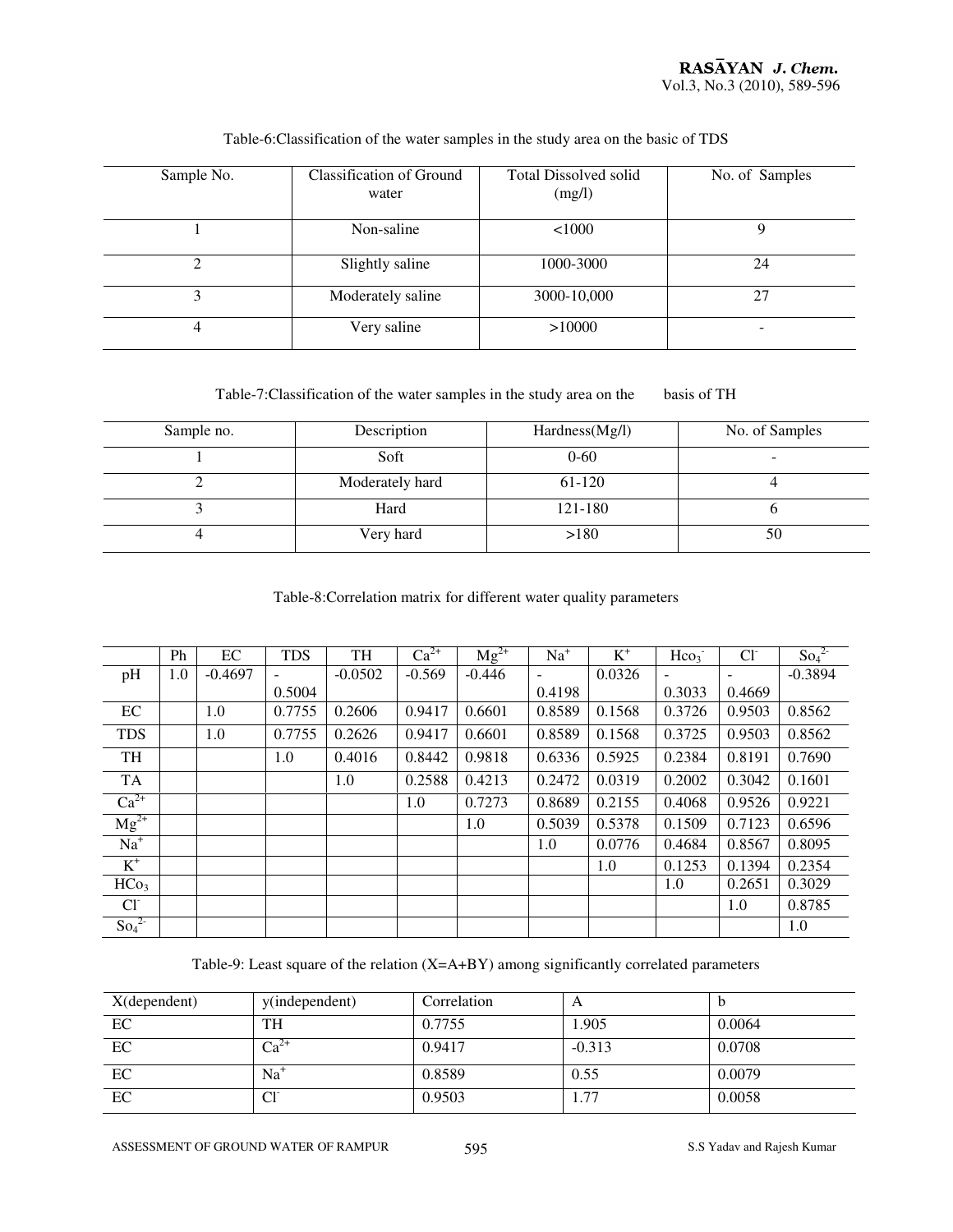| Sample No. | <b>Classification of Ground</b><br>water | <b>Total Dissolved solid</b><br>(mg/l) | No. of Samples |
|------------|------------------------------------------|----------------------------------------|----------------|
|            | Non-saline                               | 1000                                   |                |
| ∍          | Slightly saline                          | 1000-3000                              | 24             |
| 3          | Moderately saline                        | 3000-10,000                            | 27             |
| 4          | Very saline                              | >10000                                 | -              |

#### Table-6:Classification of the water samples in the study area on the basic of TDS

Table-7:Classification of the water samples in the study area on the basis of TH

| Sample no. | Description     | Hardness(Mg/l) | No. of Samples           |
|------------|-----------------|----------------|--------------------------|
|            | Soft            | $0 - 60$       | $\overline{\phantom{0}}$ |
|            | Moderately hard | 61-120         |                          |
|            | Hard            | 121-180        |                          |
|            | Very hard       | >180           | 50                       |

Table-8:Correlation matrix for different water quality parameters

|                  | Ph  | EC        | <b>TDS</b> | TH        | $Ca^{2+}$ | $Mg^{2+}$ | $Na+$  | $K^+$  | Hco <sub>3</sub> | $Cl^{\dagger}$ | So <sub>4</sub> <sup>2</sup> |
|------------------|-----|-----------|------------|-----------|-----------|-----------|--------|--------|------------------|----------------|------------------------------|
| pH               | 1.0 | $-0.4697$ |            | $-0.0502$ | $-0.569$  | $-0.446$  |        | 0.0326 |                  |                | $-0.3894$                    |
|                  |     |           | 0.5004     |           |           |           | 0.4198 |        | 0.3033           | 0.4669         |                              |
| EC               |     | 1.0       | 0.7755     | 0.2606    | 0.9417    | 0.6601    | 0.8589 | 0.1568 | 0.3726           | 0.9503         | 0.8562                       |
| <b>TDS</b>       |     | 1.0       | 0.7755     | 0.2626    | 0.9417    | 0.6601    | 0.8589 | 0.1568 | 0.3725           | 0.9503         | 0.8562                       |
| TH               |     |           | 1.0        | 0.4016    | 0.8442    | 0.9818    | 0.6336 | 0.5925 | 0.2384           | 0.8191         | 0.7690                       |
| <b>TA</b>        |     |           |            | 1.0       | 0.2588    | 0.4213    | 0.2472 | 0.0319 | 0.2002           | 0.3042         | 0.1601                       |
| $Ca^{2+}$        |     |           |            |           | 1.0       | 0.7273    | 0.8689 | 0.2155 | 0.4068           | 0.9526         | 0.9221                       |
| $Mg^{2+}$        |     |           |            |           |           | 1.0       | 0.5039 | 0.5378 | 0.1509           | 0.7123         | 0.6596                       |
| $Na+$            |     |           |            |           |           |           | 1.0    | 0.0776 | 0.4684           | 0.8567         | 0.8095                       |
| $K^+$            |     |           |            |           |           |           |        | 1.0    | 0.1253           | 0.1394         | 0.2354                       |
| HCo <sub>3</sub> |     |           |            |           |           |           |        |        | 1.0              | 0.2651         | 0.3029                       |
| $Cl-$            |     |           |            |           |           |           |        |        |                  | 1.0            | 0.8785                       |
| $So_4^2$         |     |           |            |           |           |           |        |        |                  |                | 1.0                          |

Table-9: Least square of the relation (X=A+BY) among significantly correlated parameters

| $X$ (dependent) | y(independent)       | Correlation | A        |        |
|-----------------|----------------------|-------------|----------|--------|
| EC              | <b>TH</b>            | 0.7755      | 1.905    | 0.0064 |
| EC              | $\overline{Ca}^{2+}$ | 0.9417      | $-0.313$ | 0.0708 |
| EC              | $Na+$                | 0.8589      | 0.55     | 0.0079 |
| EC              | Cl <sup>2</sup>      | 0.9503      | 1.77     | 0.0058 |